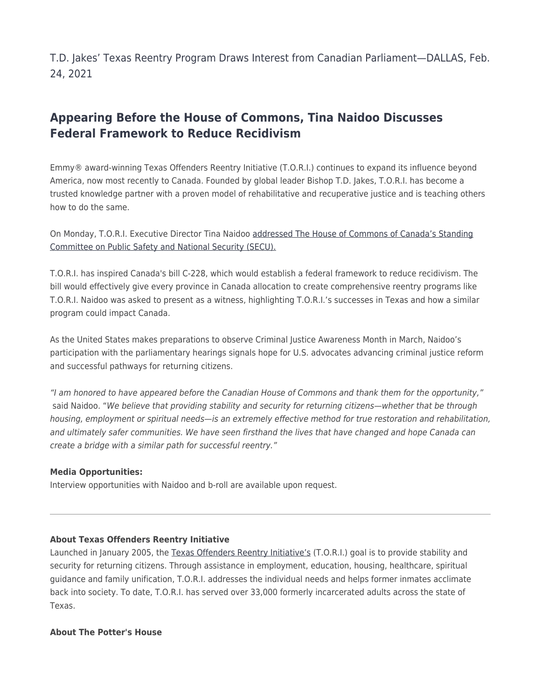T.D. Jakes' Texas Reentry Program Draws Interest from Canadian Parliament—DALLAS, Feb. 24, 2021

## **Appearing Before the House of Commons, Tina Naidoo Discusses Federal Framework to Reduce Recidivism**

Emmy® award-winning Texas Offenders Reentry Initiative (T.O.R.I.) continues to expand its influence beyond America, now most recently to Canada. Founded by global leader Bishop T.D. Jakes, T.O.R.I. has become a trusted knowledge partner with a proven model of rehabilitative and recuperative justice and is teaching others how to do the same.

On Monday, T.O.R.I. Executive Director Tina Naidoo [addressed The House of Commons of Canada's Standing](https://u7061146.ct.sendgrid.net/ls/click?upn=4tNED-2FM8iDZJQyQ53jATUcqNrZlK6gqiM2kVz2oZ31NMsX5tvXvMJBSyok5ze7ehwgVZ9C4SODI2BkXhblamgKYSjAGfrWkGTPSV9actB5AuFtgV7JT01HnybS8Gth-2FXL7Wqu-2BCqjl22mbPsp38QdBvbRP3dR48NuQoazb5cry4-3DEcey_VshdNWtjMNuiStyRL3a85eifAn3SO6h-2FzUo2PVqMvIH4cM-2BEaSxosP4HQ6QG-2F76Y2RyWYXGVUWfL8wQ3dB9-2FzUs9UMgrCSTwjNPyB03-2BNFGI072cvwj9-2B2jUoPzY472G0M3la5tFRevXuuSTpM5HpLGh1oTBsrA7x-2BDJwG4n80dn-2FYWxwhNxKf48eQ5fehRT6M2PWxrB2JEn6qYAlfFpoI5uWabE6IEd5XBIlmFPeAuH8PFKTA3lOamje-2B3k5TTEZ9jMO587TfxZAs3nbgTc4o0sLiMAJJiMJtm01uhrzVP-2FKPO6GXU8TbLhmTIpMeRxbV7JqyLHtoQYaxE3gih3H0yADgKTHE0nLQs-2Bb8Ifym4-3D) [Committee on Public Safety and National Security \(SECU\).](https://u7061146.ct.sendgrid.net/ls/click?upn=4tNED-2FM8iDZJQyQ53jATUcqNrZlK6gqiM2kVz2oZ31NMsX5tvXvMJBSyok5ze7ehwgVZ9C4SODI2BkXhblamgKYSjAGfrWkGTPSV9actB5AuFtgV7JT01HnybS8Gth-2FXL7Wqu-2BCqjl22mbPsp38QdBvbRP3dR48NuQoazb5cry4-3DEcey_VshdNWtjMNuiStyRL3a85eifAn3SO6h-2FzUo2PVqMvIH4cM-2BEaSxosP4HQ6QG-2F76Y2RyWYXGVUWfL8wQ3dB9-2FzUs9UMgrCSTwjNPyB03-2BNFGI072cvwj9-2B2jUoPzY472G0M3la5tFRevXuuSTpM5HpLGh1oTBsrA7x-2BDJwG4n80dn-2FYWxwhNxKf48eQ5fehRT6M2PWxrB2JEn6qYAlfFpoI5uWabE6IEd5XBIlmFPeAuH8PFKTA3lOamje-2B3k5TTEZ9jMO587TfxZAs3nbgTc4o0sLiMAJJiMJtm01uhrzVP-2FKPO6GXU8TbLhmTIpMeRxbV7JqyLHtoQYaxE3gih3H0yADgKTHE0nLQs-2Bb8Ifym4-3D)

T.O.R.I. has inspired Canada's bill C-228, which would establish a federal framework to reduce recidivism. The bill would effectively give every province in Canada allocation to create comprehensive reentry programs like T.O.R.I. Naidoo was asked to present as a witness, highlighting T.O.R.I.'s successes in Texas and how a similar program could impact Canada.

As the United States makes preparations to observe Criminal Justice Awareness Month in March, Naidoo's participation with the parliamentary hearings signals hope for U.S. advocates advancing criminal justice reform and successful pathways for returning citizens.

"I am honored to have appeared before the Canadian House of Commons and thank them for the opportunity," said Naidoo. "We believe that providing stability and security for returning citizens—whether that be through housing, employment or spiritual needs—is an extremely effective method for true restoration and rehabilitation, and ultimately safer communities. We have seen firsthand the lives that have changed and hope Canada can create a bridge with a similar path for successful reentry."

## **Media Opportunities:**

Interview opportunities with Naidoo and b-roll are available upon request.

## **About Texas Offenders Reentry Initiative**

Launched in January 2005, the [Texas Offenders Reentry Initiative's](https://u7061146.ct.sendgrid.net/ls/click?upn=4tNED-2FM8iDZJQyQ53jATUc9hVSMf4-2Bzt5i61EJmSt8U-3DIbWb_VshdNWtjMNuiStyRL3a85eifAn3SO6h-2FzUo2PVqMvIH4cM-2BEaSxosP4HQ6QG-2F76Y2RyWYXGVUWfL8wQ3dB9-2FzUs9UMgrCSTwjNPyB03-2BNFGI072cvwj9-2B2jUoPzY472G0M3la5tFRevXuuSTpM5HpLGh1oTBsrA7x-2BDJwG4n80dn-2FYWxwhNxKf48eQ5fehRT6M2PWxrB2JEn6qYAlfFpoEi3QFj2cTjt2lvsWIZJ3vA52NyBUscQIcPBfIa-2BIkZs4jsBYPnvDluZEosVaVgy80sKWfomq2dpC-2B7kYaw4sj5KJASIOge6BY-2Bnt5Q0E3e3U0ujstjeGuy2y20oQUExqCiRQoUP4wlC6Yer-2FmorERM-3D) (T.O.R.I.) goal is to provide stability and security for returning citizens. Through assistance in employment, education, housing, healthcare, spiritual guidance and family unification, T.O.R.I. addresses the individual needs and helps former inmates acclimate back into society. To date, T.O.R.I. has served over 33,000 formerly incarcerated adults across the state of Texas.

## **About The Potter's House**